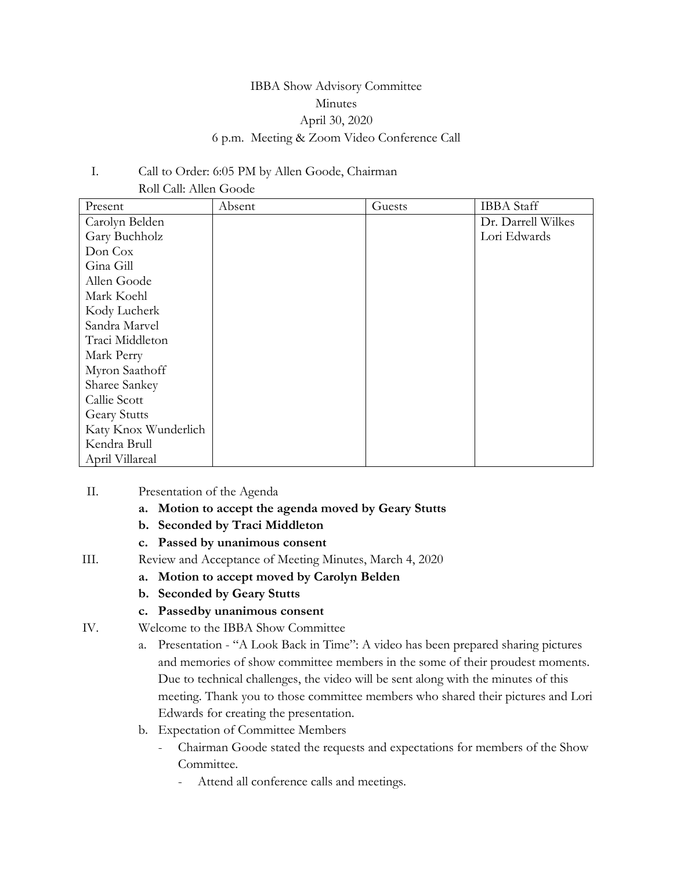# IBBA Show Advisory Committee Minutes April 30, 2020 6 p.m. Meeting & Zoom Video Conference Call

## I. Call to Order: 6:05 PM by Allen Goode, Chairman Roll Call: Allen Goode

| Present              | Absent | Guests | <b>IBBA</b> Staff  |
|----------------------|--------|--------|--------------------|
| Carolyn Belden       |        |        | Dr. Darrell Wilkes |
| Gary Buchholz        |        |        | Lori Edwards       |
| Don Cox              |        |        |                    |
| Gina Gill            |        |        |                    |
| Allen Goode          |        |        |                    |
| Mark Koehl           |        |        |                    |
| Kody Lucherk         |        |        |                    |
| Sandra Marvel        |        |        |                    |
| Traci Middleton      |        |        |                    |
| Mark Perry           |        |        |                    |
| Myron Saathoff       |        |        |                    |
| Sharee Sankey        |        |        |                    |
| Callie Scott         |        |        |                    |
| <b>Geary Stutts</b>  |        |        |                    |
| Katy Knox Wunderlich |        |        |                    |
| Kendra Brull         |        |        |                    |
| April Villareal      |        |        |                    |

- II. Presentation of the Agenda
	- **a. Motion to accept the agenda moved by Geary Stutts**
	- **b. Seconded by Traci Middleton**
	- **c. Passed by unanimous consent**
- III. Review and Acceptance of Meeting Minutes, March 4, 2020
	- **a. Motion to accept moved by Carolyn Belden**
	- **b. Seconded by Geary Stutts**
	- **c. Passedby unanimous consent**
- IV. Welcome to the IBBA Show Committee
	- a. Presentation "A Look Back in Time": A video has been prepared sharing pictures and memories of show committee members in the some of their proudest moments. Due to technical challenges, the video will be sent along with the minutes of this meeting. Thank you to those committee members who shared their pictures and Lori Edwards for creating the presentation.
	- b. Expectation of Committee Members
		- Chairman Goode stated the requests and expectations for members of the Show Committee.
			- Attend all conference calls and meetings.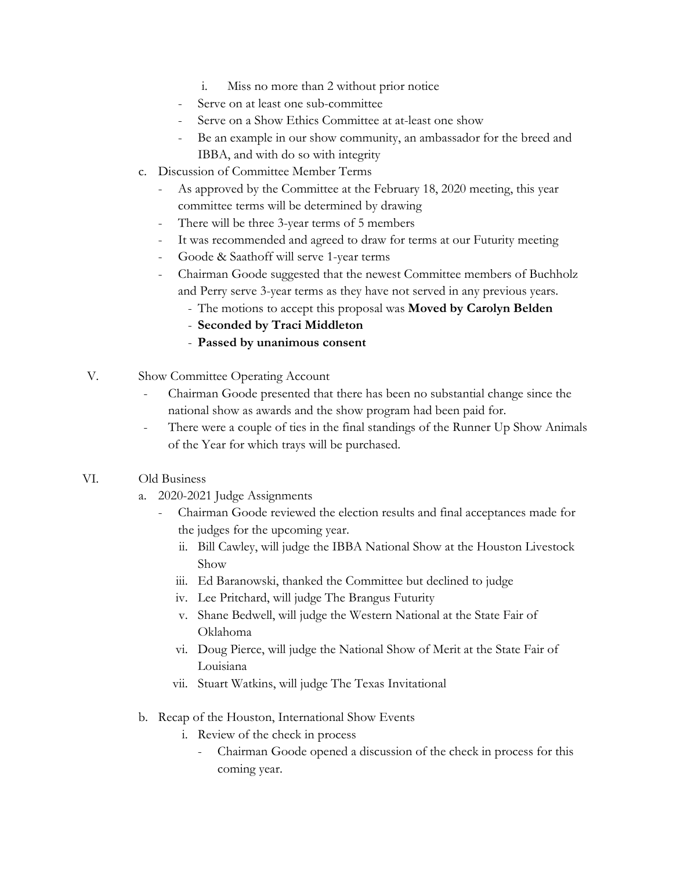- i. Miss no more than 2 without prior notice
- Serve on at least one sub-committee
- Serve on a Show Ethics Committee at at-least one show
- Be an example in our show community, an ambassador for the breed and IBBA, and with do so with integrity
- c. Discussion of Committee Member Terms
	- As approved by the Committee at the February 18, 2020 meeting, this year committee terms will be determined by drawing
	- There will be three 3-year terms of 5 members
	- It was recommended and agreed to draw for terms at our Futurity meeting
	- Goode & Saathoff will serve 1-year terms
	- Chairman Goode suggested that the newest Committee members of Buchholz and Perry serve 3-year terms as they have not served in any previous years.
		- The motions to accept this proposal was **Moved by Carolyn Belden**
		- **Seconded by Traci Middleton**
		- **Passed by unanimous consent**
- V. Show Committee Operating Account
	- Chairman Goode presented that there has been no substantial change since the national show as awards and the show program had been paid for.
	- There were a couple of ties in the final standings of the Runner Up Show Animals of the Year for which trays will be purchased.

## VI. Old Business

- a. 2020-2021 Judge Assignments
	- Chairman Goode reviewed the election results and final acceptances made for the judges for the upcoming year.
		- ii. Bill Cawley, will judge the IBBA National Show at the Houston Livestock Show
		- iii. Ed Baranowski, thanked the Committee but declined to judge
		- iv. Lee Pritchard, will judge The Brangus Futurity
		- v. Shane Bedwell, will judge the Western National at the State Fair of Oklahoma
		- vi. Doug Pierce, will judge the National Show of Merit at the State Fair of Louisiana
		- vii. Stuart Watkins, will judge The Texas Invitational
- b. Recap of the Houston, International Show Events
	- i. Review of the check in process
		- Chairman Goode opened a discussion of the check in process for this coming year.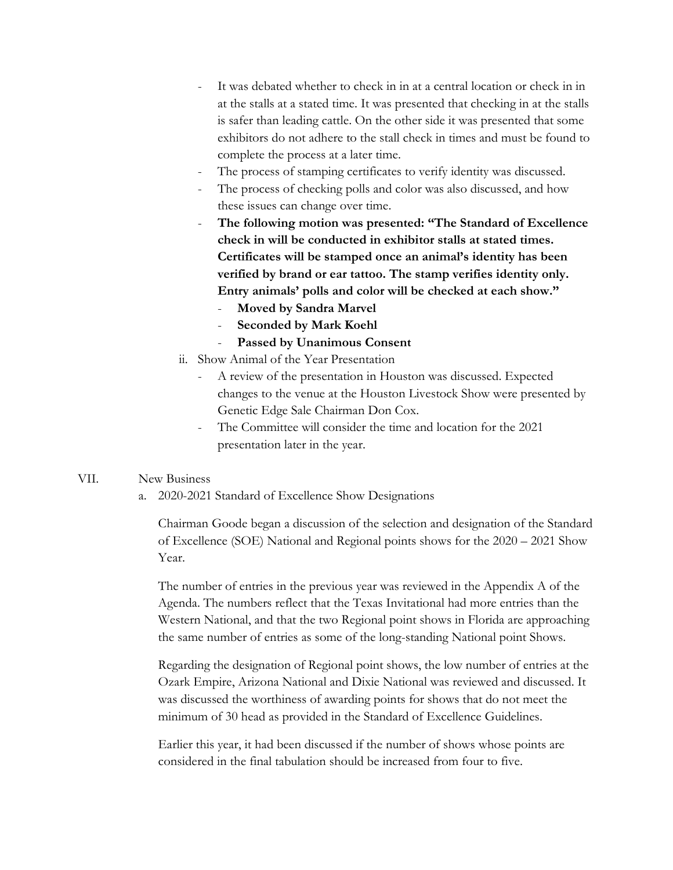- It was debated whether to check in in at a central location or check in in at the stalls at a stated time. It was presented that checking in at the stalls is safer than leading cattle. On the other side it was presented that some exhibitors do not adhere to the stall check in times and must be found to complete the process at a later time.
- The process of stamping certificates to verify identity was discussed.
- The process of checking polls and color was also discussed, and how these issues can change over time.
- The following motion was presented: "The Standard of Excellence **check in will be conducted in exhibitor stalls at stated times. Certificates will be stamped once an animal's identity has been verified by brand or ear tattoo. The stamp verifies identity only. Entry animals' polls and color will be checked at each show."**
	- **Moved by Sandra Marvel**
	- Seconded by Mark Koehl
	- Passed by Unanimous Consent
- ii. Show Animal of the Year Presentation
	- A review of the presentation in Houston was discussed. Expected changes to the venue at the Houston Livestock Show were presented by Genetic Edge Sale Chairman Don Cox.
	- The Committee will consider the time and location for the 2021 presentation later in the year.

## VII. New Business

a. 2020-2021 Standard of Excellence Show Designations

Chairman Goode began a discussion of the selection and designation of the Standard of Excellence (SOE) National and Regional points shows for the 2020 – 2021 Show Year.

The number of entries in the previous year was reviewed in the Appendix A of the Agenda. The numbers reflect that the Texas Invitational had more entries than the Western National, and that the two Regional point shows in Florida are approaching the same number of entries as some of the long-standing National point Shows.

Regarding the designation of Regional point shows, the low number of entries at the Ozark Empire, Arizona National and Dixie National was reviewed and discussed. It was discussed the worthiness of awarding points for shows that do not meet the minimum of 30 head as provided in the Standard of Excellence Guidelines.

Earlier this year, it had been discussed if the number of shows whose points are considered in the final tabulation should be increased from four to five.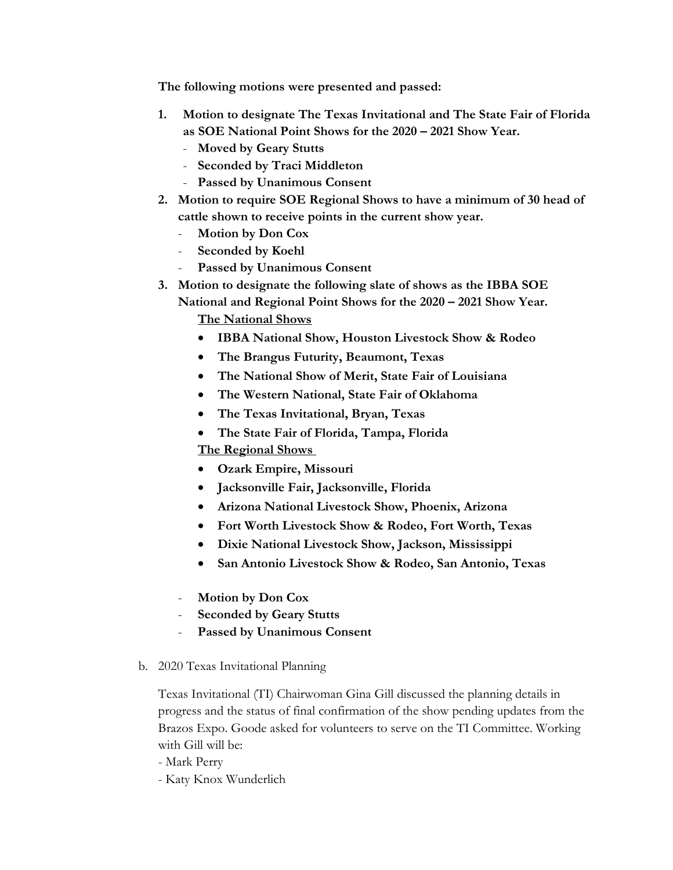**The following motions were presented and passed:**

- **1. Motion to designate The Texas Invitational and The State Fair of Florida as SOE National Point Shows for the 2020 – 2021 Show Year.**
	- **Moved by Geary Stutts**
	- **Seconded by Traci Middleton**
	- **Passed by Unanimous Consent**
- **2. Motion to require SOE Regional Shows to have a minimum of 30 head of cattle shown to receive points in the current show year.**
	- **Motion by Don Cox**
	- **Seconded by Koehl**
	- Passed by Unanimous Consent
- **3. Motion to designate the following slate of shows as the IBBA SOE** 
	- **National and Regional Point Shows for the 2020 2021 Show Year. The National Shows**
		- **IBBA National Show, Houston Livestock Show & Rodeo**
		- **The Brangus Futurity, Beaumont, Texas**
		- **The National Show of Merit, State Fair of Louisiana**
		- **The Western National, State Fair of Oklahoma**
		- **The Texas Invitational, Bryan, Texas**
		- **The State Fair of Florida, Tampa, Florida**

**The Regional Shows** 

- **Ozark Empire, Missouri**
- **Jacksonville Fair, Jacksonville, Florida**
- **Arizona National Livestock Show, Phoenix, Arizona**
- **Fort Worth Livestock Show & Rodeo, Fort Worth, Texas**
- **Dixie National Livestock Show, Jackson, Mississippi**
- **San Antonio Livestock Show & Rodeo, San Antonio, Texas**
- **Motion by Don Cox**
- **Seconded by Geary Stutts**
- Passed by Unanimous Consent
- b. 2020 Texas Invitational Planning

Texas Invitational (TI) Chairwoman Gina Gill discussed the planning details in progress and the status of final confirmation of the show pending updates from the Brazos Expo. Goode asked for volunteers to serve on the TI Committee. Working with Gill will be:

- Mark Perry
- Katy Knox Wunderlich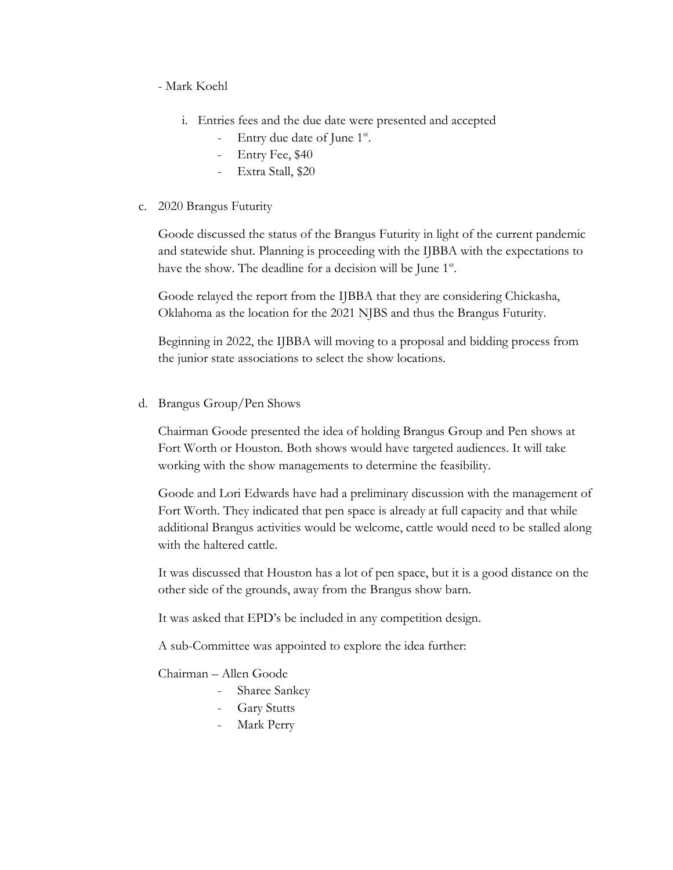- Mark Koehl

- i. Entries fees and the due date were presented and accepted
	- Entry due date of June 1<sup>st</sup>.
	- Entry Fee, \$40
	- Extra Stall, \$20
- c. 2020 Brangus Futurity

Goode discussed the status of the Brangus Futurity in light of the current pandemic and statewide shut. Planning is proceeding with the IJBBA with the expectations to have the show. The deadline for a decision will be June 1<sup>st</sup>.

Goode relayed the report from the IJBBA that they are considering Chickasha, Oklahoma as the location for the 2021 NJBS and thus the Brangus Futurity.

Beginning in 2022, the IJBBA will moving to a proposal and bidding process from the junior state associations to select the show locations.

d. Brangus Group/Pen Shows

Chairman Goode presented the idea of holding Brangus Group and Pen shows at Fort Worth or Houston. Both shows would have targeted audiences. It will take working with the show managements to determine the feasibility.

Goode and Lori Edwards have had a preliminary discussion with the management of Fort Worth. They indicated that pen space is already at full capacity and that while additional Brangus activities would be welcome, cattle would need to be stalled along with the haltered cattle.

It was discussed that Houston has a lot of pen space, but it is a good distance on the other side of the grounds, away from the Brangus show barn.

It was asked that EPD's be included in any competition design.

A sub-Committee was appointed to explore the idea further:

Chairman – Allen Goode

- Sharee Sankey
- Gary Stutts
- Mark Perry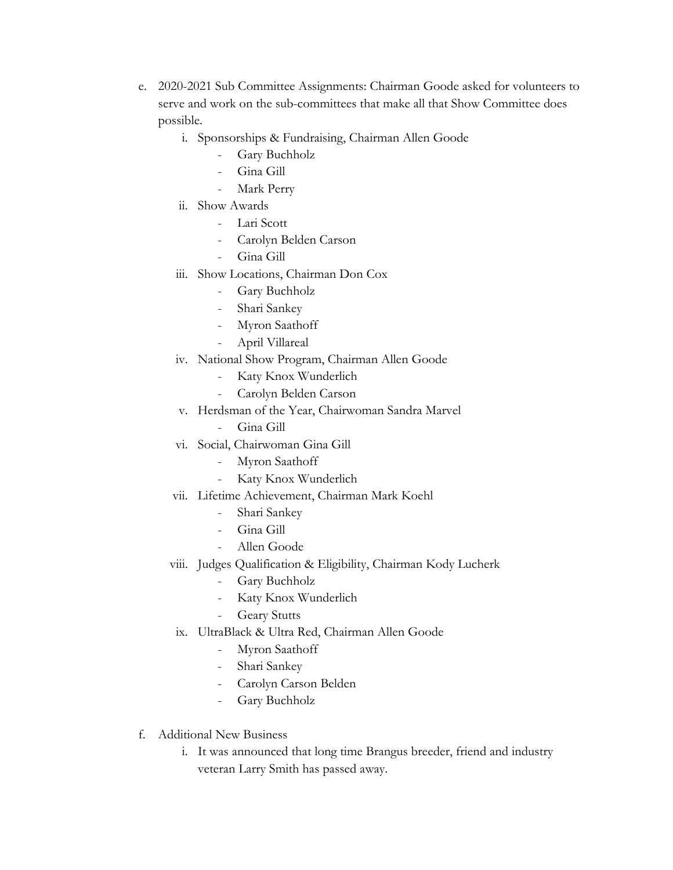- e. 2020-2021 Sub Committee Assignments: Chairman Goode asked for volunteers to serve and work on the sub-committees that make all that Show Committee does possible.
	- i. Sponsorships & Fundraising, Chairman Allen Goode
		- Gary Buchholz
		- Gina Gill
		- Mark Perry
	- ii. Show Awards
		- Lari Scott
		- Carolyn Belden Carson
		- Gina Gill
	- iii. Show Locations, Chairman Don Cox
		- Gary Buchholz
		- Shari Sankey
		- Myron Saathoff
		- April Villareal
	- iv. National Show Program, Chairman Allen Goode
		- Katy Knox Wunderlich
		- Carolyn Belden Carson
	- v. Herdsman of the Year, Chairwoman Sandra Marvel
		- Gina Gill
	- vi. Social, Chairwoman Gina Gill
		- Myron Saathoff
		- Katy Knox Wunderlich
	- vii. Lifetime Achievement, Chairman Mark Koehl
		- Shari Sankey
		- Gina Gill
		- Allen Goode
	- viii. Judges Qualification & Eligibility, Chairman Kody Lucherk
		- Gary Buchholz
		- Katy Knox Wunderlich
		- Geary Stutts
	- ix. UltraBlack & Ultra Red, Chairman Allen Goode
		- Myron Saathoff
		- Shari Sankey
		- Carolyn Carson Belden
		- Gary Buchholz
- f. Additional New Business
	- i. It was announced that long time Brangus breeder, friend and industry veteran Larry Smith has passed away.